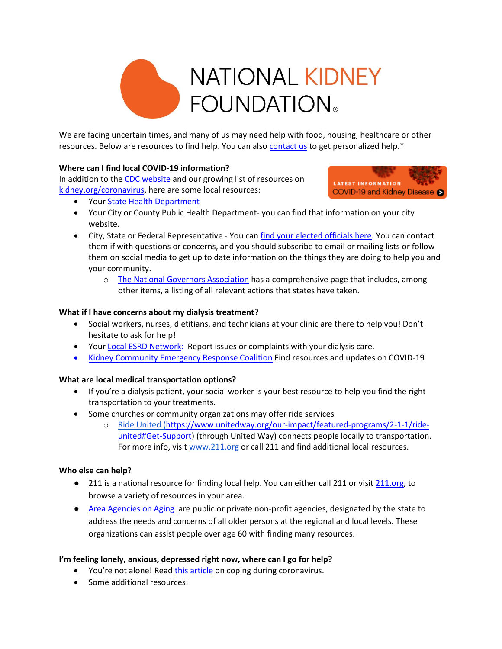

We are facing uncertain times, and many of us may need help with food, housing, healthcare or other resources. Below are resources to find help. You can als[o contact us](https://www.kidney.org/about/contact) to get personalized help.\*

### **Where can I find local COVID-19 information?**

In addition to the [CDC website](https://www.cdc.gov/coronavirus/2019-ncov/index.html) and our growing list of resources on [kidney.org/coronavirus,](http://www.kidney.org/coronavirus) here are some local resources:



- Your [State Health Department](https://www.kidney.org/coronavirus/regional-resources-for-covid-19)
- Your City or County Public Health Department- you can find that information on your city website.
- City, State or Federal Representative You ca[n find your elected officials here.](https://www.usa.gov/elected-officials) You can contact them if with questions or concerns, and you should subscribe to email or mailing lists or follow them on social media to get up to date information on the things they are doing to help you and your community.
	- o [The National Governors Association](https://www.nga.org/coronavirus/#actions) has a comprehensive page that includes, among other items, a listing of all relevant actions that states have taken.

### **What if I have concerns about my dialysis treatment**?

- Social workers, nurses, dietitians, and technicians at your clinic are there to help you! Don't hesitate to ask for help!
- Your [Local ESRD Network:](https://esrdnetworks.org/membership/esrd-networks) Report issues or complaints with your dialysis care.
- [Kidney Community Emergency Response Coalition](https://www.kcercoalition.com/) Find resources and updates on COVID-19

# **What are local medical transportation options?**

- If you're a dialysis patient, your social worker is your best resource to help you find the right transportation to your treatments.
- Some churches or community organizations may offer ride services
	- o [Ride United](https://www.unitedway.org/our-impact/featured-programs/2-1-1/ride-united#Get-Support) [\(https://www.unitedway.org/our-impact/featured-programs/2-1-1/ride](https://www.unitedway.org/our-impact/featured-programs/2-1-1/ride-united#Get-Support)[united#Get-Support\)](https://www.unitedway.org/our-impact/featured-programs/2-1-1/ride-united#Get-Support) (through United Way) connects people locally to transportation. For more info, visi[t www.211.org](http://www.211.org/) or call 211 and find additional local resources.

#### **Who else can help?**

- 211 is a national resource for finding local help. You can either call 211 or visit [211.org,](http://www.211.org/) to browse a variety of resources in your area.
- [Area Agencies on Aging](file:///C:/Users/Kelli/Downloads/Area%20Agency%20on%20Aging) are public or private non-profit agencies, designated by the state to address the needs and concerns of all older persons at the regional and local levels. These organizations can assist people over age 60 with finding many resources.

# **I'm feeling lonely, anxious, depressed right now, where can I go for help?**

- You're not alone! Read [this article](https://www.kidney.org/coronavirus/coping-support#connecting-support-resources) on coping during coronavirus.
- Some additional resources: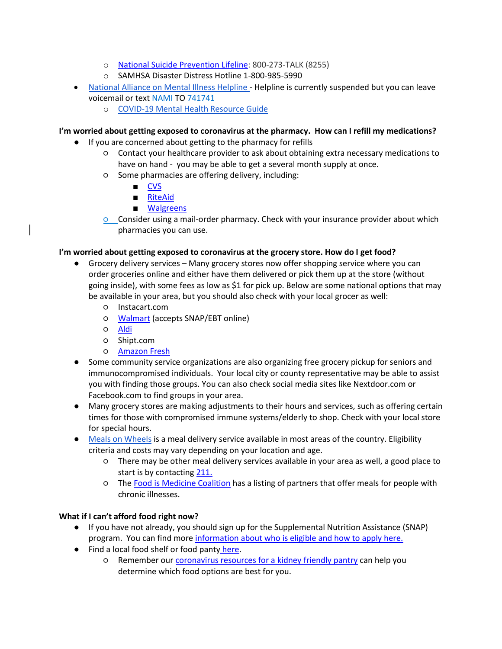- o [National Suicide Prevention Lifeline:](file:///C:/Users/Kelli/Downloads/National%20Suicide%20Prevention%20Lifeline) 800-273-TALK (8255)
- o SAMHSA Disaster Distress Hotline 1-800-985-5990
- [National Alliance on Mental Illness Helpline](https://www.nami.org/Find-Support/NAMI-HelpLine) Helpline is currently suspended but you can leave voicemail or text NAMI TO 741741
	- o [COVID-19 Mental Health Resource Guide](https://www.nami.org/getattachment/About-NAMI/NAMI-News/2020/NAMI-Updates-on-the-Coronavirus/COVID-19-Updated-Guide-1.pdf)

### **I'm worried about getting exposed to coronavirus at the pharmacy. How can I refill my medications?**

- If you are concerned about getting to the pharmacy for refills
	- Contact your healthcare provider to ask about obtaining extra necessary medications to have on hand - you may be able to get a several month supply at once.
	- Some pharmacies are offering delivery, including:
		- [CVS](https://www.cvs.com/content/delivery)
		- [RiteAid](https://www.riteaid.com/faq/prescription-services)
		- [Walgreens](https://www.walgreens.com/topic/pharmacy/prescription-delivery.jsp)
	- Consider using a mail-order pharmacy. Check with your insurance provider about which pharmacies you can use.

### **I'm worried about getting exposed to coronavirus at the grocery store. How do I get food?**

- Grocery delivery services Many grocery stores now offer shopping service where you can order groceries online and either have them delivered or pick them up at the store (without going inside), with some fees as low as \$1 for pick up. Below are some national options that may be available in your area, but you should also check with your local grocer as well:
	- Instacart.com
	- [Walmart](https://grocery.walmart.com/) (accepts SNAP/EBT online)
	- [Aldi](https://www.aldi.us/en/shop-now/grocery-pickup/)
	- Shipt.com
	- [Amazon Fresh](https://www.amazon.com/fmc/learn-more)
- Some community service organizations are also organizing free grocery pickup for seniors and immunocompromised individuals. Your local city or county representative may be able to assist you with finding those groups. You can also check social media sites like Nextdoor.com or Facebook.com to find groups in your area.
- Many grocery stores are making adjustments to their hours and services, such as offering certain times for those with compromised immune systems/elderly to shop. Check with your local store for special hours.
- [Meals on Wheels](https://www.mealsonwheelsamerica.org/) is a meal delivery service available in most areas of the country. Eligibility criteria and costs may vary depending on your location and age.
	- There may be other meal delivery services available in your area as well, a good place to start is by contacting [211.](http://www.211.org/)
	- The [Food is Medicine Coalition](http://www.fimcoalition.org/partners) has a listing of partners that offer meals for people with chronic illnesses.

# **What if I can't afford food right now?**

- If you have not already, you should sign up for the Supplemental Nutrition Assistance (SNAP) program. You can find more [information about who is eligible and how to apply here.](https://www.fns.usda.gov/snap/recipient/eligibility#How%20do%20I%20apply%20for%20SNAP?)
- Find a local food shelf or food panty [here.](https://www.feedingamerica.org/find-your-local-foodbank)
	- Remember our [coronavirus resources for a kidney friendly pantry](https://www.kidney.org/contents/be-prepared-kidney-patient-prep-coronavirus) can help you determine which food options are best for you.